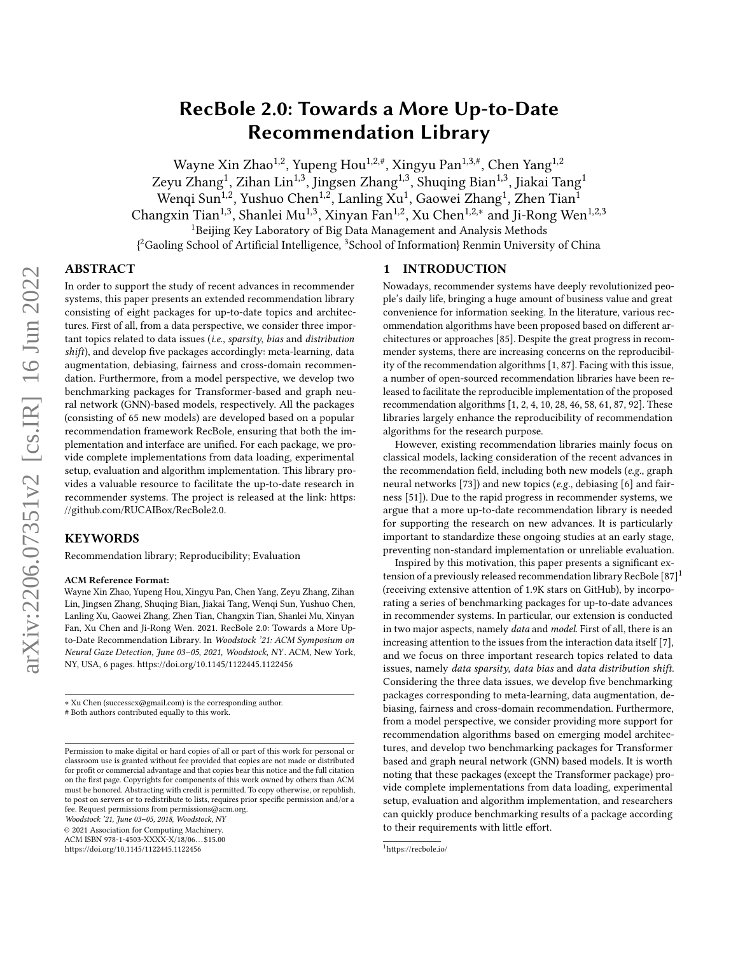# RecBole 2.0: Towards a More Up-to-Date Recommendation Library

Wayne Xin Zhao<sup>1,2</sup>, Yupeng Hou<sup>1,2,#</sup>, Xingyu Pan<sup>1,3,#</sup>, Chen Yang<sup>1,2</sup> Zeyu Zhang<sup>1</sup>, Zihan Lin<sup>1,3</sup>, Jingsen Zhang<sup>1,3</sup>, Shuqing Bian<sup>1,3</sup>, Jiakai Tang<sup>1</sup> Wengi Sun<sup>1,2</sup>, Yushuo Chen<sup>1,2</sup>, Lanling Xu<sup>1</sup>, Gaowei Zhang<sup>1</sup>, Zhen Tian<sup>1</sup> Changxin Tian<sup>1,3</sup>, Shanlei Mu<sup>1,3</sup>, Xinyan Fan<sup>1,2</sup>, Xu Chen<sup>1,2,\*</sup> and Ji-Rong Wen<sup>1,2,3</sup> <sup>1</sup>Beijing Key Laboratory of Big Data Management and Analysis Methods  $\beta^2$ Gaoling School of Artificial Intelligence. <sup>3</sup>School of Information Renmin University of China

# ABSTRACT

In order to support the study of recent advances in recommender systems, this paper presents an extended recommendation library consisting of eight packages for up-to-date topics and architectures. First of all, from a data perspective, we consider three important topics related to data issues (i.e., sparsity, bias and distribution shift), and develop five packages accordingly: meta-learning, data augmentation, debiasing, fairness and cross-domain recommendation. Furthermore, from a model perspective, we develop two benchmarking packages for Transformer-based and graph neural network (GNN)-based models, respectively. All the packages (consisting of 65 new models) are developed based on a popular recommendation framework RecBole, ensuring that both the implementation and interface are unified. For each package, we provide complete implementations from data loading, experimental setup, evaluation and algorithm implementation. This library provides a valuable resource to facilitate the up-to-date research in recommender systems. The project is released at the link: [https:](https://github.com/RUCAIBox/RecBole2.0) [//github.com/RUCAIBox/RecBole2.0.](https://github.com/RUCAIBox/RecBole2.0)

#### KEYWORDS

Recommendation library; Reproducibility; Evaluation

#### ACM Reference Format:

Wayne Xin Zhao, Yupeng Hou, Xingyu Pan, Chen Yang, Zeyu Zhang, Zihan Lin, Jingsen Zhang, Shuqing Bian, Jiakai Tang, Wenqi Sun, Yushuo Chen, Lanling Xu, Gaowei Zhang, Zhen Tian, Changxin Tian, Shanlei Mu, Xinyan Fan, Xu Chen and Ji-Rong Wen. 2021. RecBole 2.0: Towards a More Upto-Date Recommendation Library. In Woodstock '21: ACM Symposium on Neural Gaze Detection, June 03–05, 2021, Woodstock, NY . ACM, New York, NY, USA, [6](#page-5-0) pages.<https://doi.org/10.1145/1122445.1122456>

∗ Xu Chen (successcx@gmail.com) is the corresponding author.

# Both authors contributed equally to this work.

Woodstock '21, June 03–05, 2018, Woodstock, NY

© 2021 Association for Computing Machinery.

ACM ISBN 978-1-4503-XXXX-X/18/06. . . \$15.00

<https://doi.org/10.1145/1122445.1122456>

### 1 INTRODUCTION

Nowadays, recommender systems have deeply revolutionized people's daily life, bringing a huge amount of business value and great convenience for information seeking. In the literature, various recommendation algorithms have been proposed based on different architectures or approaches [\[85\]](#page-5-1). Despite the great progress in recommender systems, there are increasing concerns on the reproducibility of the recommendation algorithms [\[1,](#page-4-0) [87\]](#page-5-2). Facing with this issue, a number of open-sourced recommendation libraries have been released to facilitate the reproducible implementation of the proposed recommendation algorithms [\[1,](#page-4-0) [2,](#page-4-1) [4,](#page-4-2) [10,](#page-4-3) [28,](#page-4-4) [46,](#page-4-5) [58,](#page-5-3) [61,](#page-5-4) [87,](#page-5-2) [92\]](#page-5-5). These libraries largely enhance the reproducibility of recommendation algorithms for the research purpose.

However, existing recommendation libraries mainly focus on classical models, lacking consideration of the recent advances in the recommendation field, including both new models (e.g., graph neural networks [\[73\]](#page-5-6)) and new topics (e.g., debiasing [\[6\]](#page-4-6) and fairness [\[51\]](#page-4-7)). Due to the rapid progress in recommender systems, we argue that a more up-to-date recommendation library is needed for supporting the research on new advances. It is particularly important to standardize these ongoing studies at an early stage, preventing non-standard implementation or unreliable evaluation.

Inspired by this motivation, this paper presents a significant extension of a previously released recommendation library RecBole [\[87\]](#page-5-2) [1](#page-0-0) (receiving extensive attention of 1.9K stars on GitHub), by incorporating a series of benchmarking packages for up-to-date advances in recommender systems. In particular, our extension is conducted in two major aspects, namely data and model. First of all, there is an increasing attention to the issues from the interaction data itself [\[7\]](#page-4-8), and we focus on three important research topics related to data issues, namely data sparsity, data bias and data distribution shift. Considering the three data issues, we develop five benchmarking packages corresponding to meta-learning, data augmentation, debiasing, fairness and cross-domain recommendation. Furthermore, from a model perspective, we consider providing more support for recommendation algorithms based on emerging model architectures, and develop two benchmarking packages for Transformer based and graph neural network (GNN) based models. It is worth noting that these packages (except the Transformer package) provide complete implementations from data loading, experimental setup, evaluation and algorithm implementation, and researchers can quickly produce benchmarking results of a package according to their requirements with little effort.

Permission to make digital or hard copies of all or part of this work for personal or classroom use is granted without fee provided that copies are not made or distributed for profit or commercial advantage and that copies bear this notice and the full citation on the first page. Copyrights for components of this work owned by others than ACM must be honored. Abstracting with credit is permitted. To copy otherwise, or republish, to post on servers or to redistribute to lists, requires prior specific permission and/or a fee. Request permissions from permissions@acm.org.

<span id="page-0-0"></span><sup>1</sup>https://recbole.io/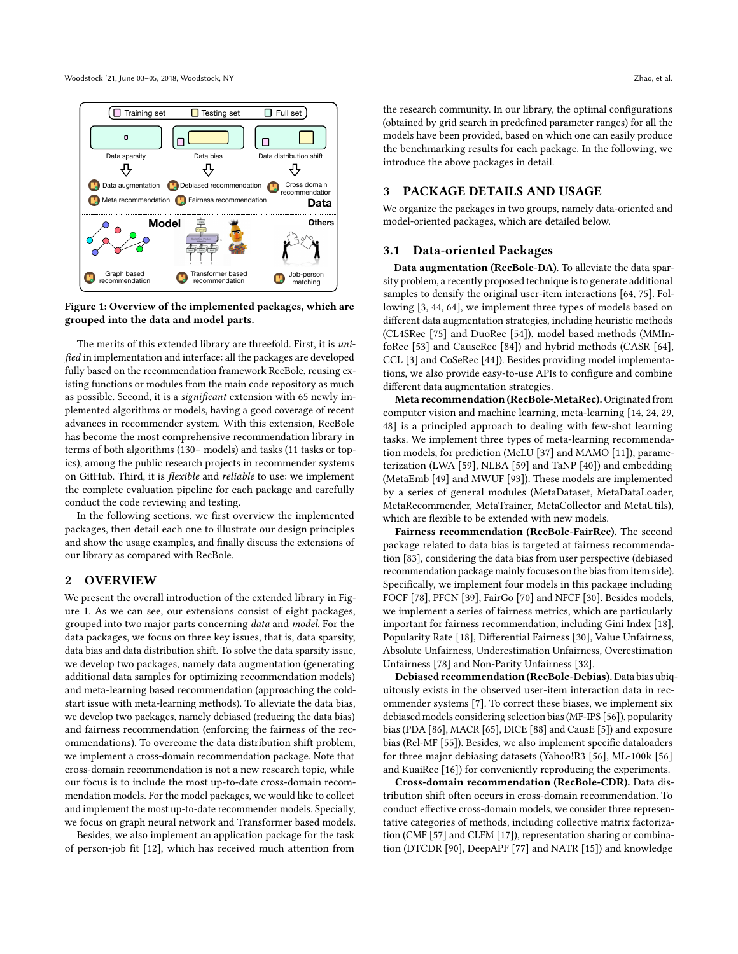Woodstock '21, June 03–05, 2018, Woodstock, NY Zhao, et al.

<span id="page-1-0"></span>

Figure 1: Overview of the implemented packages, which are grouped into the data and model parts.

The merits of this extended library are threefold. First, it is unified in implementation and interface: all the packages are developed fully based on the recommendation framework RecBole, reusing existing functions or modules from the main code repository as much as possible. Second, it is a significant extension with 65 newly implemented algorithms or models, having a good coverage of recent advances in recommender system. With this extension, RecBole has become the most comprehensive recommendation library in terms of both algorithms (130+ models) and tasks (11 tasks or topics), among the public research projects in recommender systems on GitHub. Third, it is flexible and reliable to use: we implement the complete evaluation pipeline for each package and carefully conduct the code reviewing and testing.

In the following sections, we first overview the implemented packages, then detail each one to illustrate our design principles and show the usage examples, and finally discuss the extensions of our library as compared with RecBole.

#### 2 OVERVIEW

We present the overall introduction of the extended library in Figure [1.](#page-1-0) As we can see, our extensions consist of eight packages, grouped into two major parts concerning data and model. For the data packages, we focus on three key issues, that is, data sparsity, data bias and data distribution shift. To solve the data sparsity issue, we develop two packages, namely data augmentation (generating additional data samples for optimizing recommendation models) and meta-learning based recommendation (approaching the coldstart issue with meta-learning methods). To alleviate the data bias, we develop two packages, namely debiased (reducing the data bias) and fairness recommendation (enforcing the fairness of the recommendations). To overcome the data distribution shift problem, we implement a cross-domain recommendation package. Note that cross-domain recommendation is not a new research topic, while our focus is to include the most up-to-date cross-domain recommendation models. For the model packages, we would like to collect and implement the most up-to-date recommender models. Specially, we focus on graph neural network and Transformer based models.

Besides, we also implement an application package for the task of person-job fit [\[12\]](#page-4-9), which has received much attention from

the research community. In our library, the optimal configurations (obtained by grid search in predefined parameter ranges) for all the models have been provided, based on which one can easily produce the benchmarking results for each package. In the following, we introduce the above packages in detail.

#### 3 PACKAGE DETAILS AND USAGE

We organize the packages in two groups, namely data-oriented and model-oriented packages, which are detailed below.

#### 3.1 Data-oriented Packages

Data augmentation (RecBole-DA). To alleviate the data sparsity problem, a recently proposed technique is to generate additional samples to densify the original user-item interactions [\[64,](#page-5-7) [75\]](#page-5-8). Following [\[3,](#page-4-10) [44,](#page-4-11) [64\]](#page-5-7), we implement three types of models based on different data augmentation strategies, including heuristic methods (CL4SRec [\[75\]](#page-5-8) and DuoRec [\[54\]](#page-4-12)), model based methods (MMInfoRec [\[53\]](#page-4-13) and CauseRec [\[84\]](#page-5-9)) and hybrid methods (CASR [\[64\]](#page-5-7), CCL [\[3\]](#page-4-10) and CoSeRec [\[44\]](#page-4-11)). Besides providing model implementations, we also provide easy-to-use APIs to configure and combine different data augmentation strategies.

Meta recommendation (RecBole-MetaRec). Originated from computer vision and machine learning, meta-learning [\[14,](#page-4-14) [24,](#page-4-15) [29,](#page-4-16) [48\]](#page-4-17) is a principled approach to dealing with few-shot learning tasks. We implement three types of meta-learning recommendation models, for prediction (MeLU [\[37\]](#page-4-18) and MAMO [\[11\]](#page-4-19)), parameterization (LWA [\[59\]](#page-5-10), NLBA [\[59\]](#page-5-10) and TaNP [\[40\]](#page-4-20)) and embedding (MetaEmb [\[49\]](#page-4-21) and MWUF [\[93\]](#page-5-11)). These models are implemented by a series of general modules (MetaDataset, MetaDataLoader, MetaRecommender, MetaTrainer, MetaCollector and MetaUtils), which are flexible to be extended with new models.

Fairness recommendation (RecBole-FairRec). The second package related to data bias is targeted at fairness recommendation [\[83\]](#page-5-12), considering the data bias from user perspective (debiased recommendation package mainly focuses on the bias from item side). Specifically, we implement four models in this package including FOCF [\[78\]](#page-5-13), PFCN [\[39\]](#page-4-22), FairGo [\[70\]](#page-5-14) and NFCF [\[30\]](#page-4-23). Besides models, we implement a series of fairness metrics, which are particularly important for fairness recommendation, including Gini Index [\[18\]](#page-4-24), Popularity Rate [\[18\]](#page-4-24), Differential Fairness [\[30\]](#page-4-23), Value Unfairness, Absolute Unfairness, Underestimation Unfairness, Overestimation Unfairness [\[78\]](#page-5-13) and Non-Parity Unfairness [\[32\]](#page-4-25).

Debiased recommendation (RecBole-Debias). Data bias ubiquitously exists in the observed user-item interaction data in recommender systems [\[7\]](#page-4-8). To correct these biases, we implement six debiased models considering selection bias (MF-IPS [\[56\]](#page-5-15)), popularity bias (PDA [\[86\]](#page-5-16), MACR [\[65\]](#page-5-17), DICE [\[88\]](#page-5-18) and CausE [\[5\]](#page-4-26)) and exposure bias (Rel-MF [\[55\]](#page-5-19)). Besides, we also implement specific dataloaders for three major debiasing datasets (Yahoo!R3 [\[56\]](#page-5-15), ML-100k [\[56\]](#page-5-15) and KuaiRec [\[16\]](#page-4-27)) for conveniently reproducing the experiments.

Cross-domain recommendation (RecBole-CDR). Data distribution shift often occurs in cross-domain recommendation. To conduct effective cross-domain models, we consider three representative categories of methods, including collective matrix factorization (CMF [\[57\]](#page-5-20) and CLFM [\[17\]](#page-4-28)), representation sharing or combination (DTCDR [\[90\]](#page-5-21), DeepAPF [\[77\]](#page-5-22) and NATR [\[15\]](#page-4-29)) and knowledge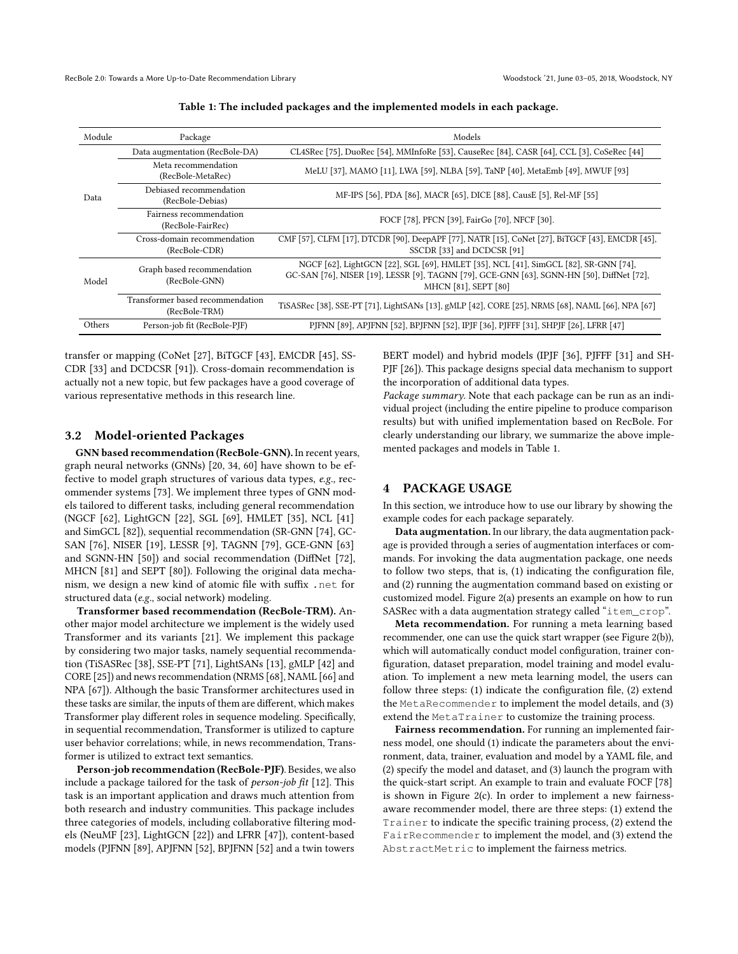RecBole 2.0: Towards a More Up-to-Date Recommendation Library Woodstock '21, June 03-05, 2018, Woodstock, NY

<span id="page-2-0"></span>

| Module | Package                                           | Models                                                                                                                                                                                                   |
|--------|---------------------------------------------------|----------------------------------------------------------------------------------------------------------------------------------------------------------------------------------------------------------|
| Data   | Data augmentation (RecBole-DA)                    | CL4SRec [75], DuoRec [54], MMInfoRe [53], CauseRec [84], CASR [64], CCL [3], CoSeRec [44]                                                                                                                |
|        | Meta recommendation<br>(RecBole-MetaRec)          | MeLU [37], MAMO [11], LWA [59], NLBA [59], TaNP [40], MetaEmb [49], MWUF [93]                                                                                                                            |
|        | Debiased recommendation<br>(RecBole-Debias)       | MF-IPS [56], PDA [86], MACR [65], DICE [88], CausE [5], Rel-MF [55]                                                                                                                                      |
|        | Fairness recommendation<br>(RecBole-FairRec)      | FOCF [78], PFCN [39], FairGo [70], NFCF [30].                                                                                                                                                            |
|        | Cross-domain recommendation<br>(RecBole-CDR)      | CMF [57], CLFM [17], DTCDR [90], DeepAPF [77], NATR [15], CoNet [27], BiTGCF [43], EMCDR [45],<br>SSCDR [33] and DCDCSR [91]                                                                             |
| Model  | Graph based recommendation<br>(RecBole-GNN)       | NGCF [62], LightGCN [22], SGL [69], HMLET [35], NCL [41], SimGCL [82], SR-GNN [74],<br>GC-SAN [76], NISER [19], LESSR [9], TAGNN [79], GCE-GNN [63], SGNN-HN [50], DiffNet [72],<br>MHCN [81], SEPT [80] |
|        | Transformer based recommendation<br>(RecBole-TRM) | TiSASRec [38], SSE-PT [71], LightSANs [13], gMLP [42], CORE [25], NRMS [68], NAML [66], NPA [67]                                                                                                         |
| Others | Person-job fit (RecBole-PJF)                      | PJFNN [89], APJFNN [52], BPJFNN [52], IPJF [36], PJFFF [31], SHPJF [26], LFRR [47]                                                                                                                       |

Table 1: The included packages and the implemented models in each package.

transfer or mapping (CoNet [\[27\]](#page-4-30), BiTGCF [\[43\]](#page-4-31), EMCDR [\[45\]](#page-4-32), SS-CDR [\[33\]](#page-4-33) and DCDCSR [\[91\]](#page-5-23)). Cross-domain recommendation is actually not a new topic, but few packages have a good coverage of various representative methods in this research line.

#### 3.2 Model-oriented Packages

GNN based recommendation (RecBole-GNN). In recent years, graph neural networks (GNNs) [\[20,](#page-4-49) [34,](#page-4-50) [60\]](#page-5-39) have shown to be effective to model graph structures of various data types, e.g., recommender systems [\[73\]](#page-5-6). We implement three types of GNN models tailored to different tasks, including general recommendation (NGCF [\[62\]](#page-5-24), LightGCN [\[22\]](#page-4-34), SGL [\[69\]](#page-5-25), HMLET [\[35\]](#page-4-35), NCL [\[41\]](#page-4-36) and SimGCL [\[82\]](#page-5-26)), sequential recommendation (SR-GNN [\[74\]](#page-5-27), GC-SAN [\[76\]](#page-5-28), NISER [\[19\]](#page-4-37), LESSR [\[9\]](#page-4-38), TAGNN [\[79\]](#page-5-29), GCE-GNN [\[63\]](#page-5-30) and SGNN-HN [\[50\]](#page-4-39)) and social recommendation (DiffNet [\[72\]](#page-5-31), MHCN [\[81\]](#page-5-32) and SEPT [\[80\]](#page-5-33)). Following the original data mechanism, we design a new kind of atomic file with suffix .net for structured data (e.g., social network) modeling.

Transformer based recommendation (RecBole-TRM). Another major model architecture we implement is the widely used Transformer and its variants [\[21\]](#page-4-51). We implement this package by considering two major tasks, namely sequential recommendation (TiSASRec [\[38\]](#page-4-40), SSE-PT [\[71\]](#page-5-34), LightSANs [\[13\]](#page-4-41), gMLP [\[42\]](#page-4-42) and CORE [\[25\]](#page-4-43)) and news recommendation (NRMS [\[68\]](#page-5-35), NAML [\[66\]](#page-5-36) and NPA [\[67\]](#page-5-37)). Although the basic Transformer architectures used in these tasks are similar, the inputs of them are different, which makes Transformer play different roles in sequence modeling. Specifically, in sequential recommendation, Transformer is utilized to capture user behavior correlations; while, in news recommendation, Transformer is utilized to extract text semantics.

Person-job recommendation (RecBole-PJF). Besides, we also include a package tailored for the task of person-job fit [\[12\]](#page-4-9). This task is an important application and draws much attention from both research and industry communities. This package includes three categories of models, including collaborative filtering models (NeuMF [\[23\]](#page-4-52), LightGCN [\[22\]](#page-4-34)) and LFRR [\[47\]](#page-4-48)), content-based models (PJFNN [\[89\]](#page-5-38), APJFNN [\[52\]](#page-4-44), BPJFNN [\[52\]](#page-4-44) and a twin towers

BERT model) and hybrid models (IPJF [\[36\]](#page-4-45), PJFFF [\[31\]](#page-4-46) and SH-PJF [\[26\]](#page-4-47)). This package designs special data mechanism to support the incorporation of additional data types.

Package summary. Note that each package can be run as an individual project (including the entire pipeline to produce comparison results) but with unified implementation based on RecBole. For clearly understanding our library, we summarize the above implemented packages and models in Table [1.](#page-2-0)

# 4 PACKAGE USAGE

In this section, we introduce how to use our library by showing the example codes for each package separately.

Data augmentation. In our library, the data augmentation package is provided through a series of augmentation interfaces or commands. For invoking the data augmentation package, one needs to follow two steps, that is, (1) indicating the configuration file, and (2) running the augmentation command based on existing or customized model. Figure [2\(](#page-3-0)a) presents an example on how to run SASRec with a data augmentation strategy called "item\_crop".

Meta recommendation. For running a meta learning based recommender, one can use the quick start wrapper (see Figure [2\(](#page-3-0)b)), which will automatically conduct model configuration, trainer configuration, dataset preparation, model training and model evaluation. To implement a new meta learning model, the users can follow three steps: (1) indicate the configuration file, (2) extend the MetaRecommender to implement the model details, and (3) extend the MetaTrainer to customize the training process.

Fairness recommendation. For running an implemented fairness model, one should (1) indicate the parameters about the environment, data, trainer, evaluation and model by a YAML file, and (2) specify the model and dataset, and (3) launch the program with the quick-start script. An example to train and evaluate FOCF [\[78\]](#page-5-13) is shown in Figure [2\(](#page-3-0)c). In order to implement a new fairnessaware recommender model, there are three steps: (1) extend the Trainer to indicate the specific training process, (2) extend the FairRecommender to implement the model, and (3) extend the AbstractMetric to implement the fairness metrics.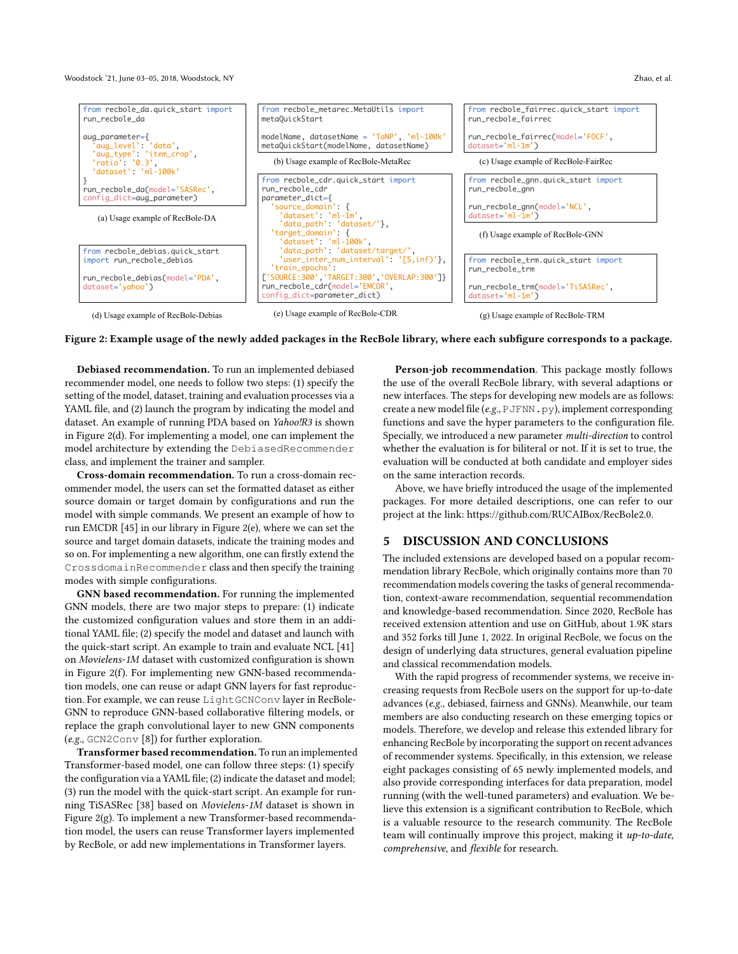Woodstock '21, June 03–05, 2018, Woodstock, NY Zhao, et al.

<span id="page-3-0"></span>

Figure 2: Example usage of the newly added packages in the RecBole library, where each subfigure corresponds to a package.

Debiased recommendation. To run an implemented debiased recommender model, one needs to follow two steps: (1) specify the setting of the model, dataset, training and evaluation processes via a YAML file, and (2) launch the program by indicating the model and dataset. An example of running PDA based on Yahoo!R3 is shown in Figure [2\(](#page-3-0)d). For implementing a model, one can implement the model architecture by extending the DebiasedRecommender class, and implement the trainer and sampler.

Cross-domain recommendation. To run a cross-domain recommender model, the users can set the formatted dataset as either source domain or target domain by configurations and run the model with simple commands. We present an example of how to run EMCDR [\[45\]](#page-4-32) in our library in Figure [2\(](#page-3-0)e), where we can set the source and target domain datasets, indicate the training modes and so on. For implementing a new algorithm, one can firstly extend the CrossdomainRecommender class and then specify the training modes with simple configurations.

GNN based recommendation. For running the implemented GNN models, there are two major steps to prepare: (1) indicate the customized configuration values and store them in an additional YAML file; (2) specify the model and dataset and launch with the quick-start script. An example to train and evaluate NCL [\[41\]](#page-4-36) on Movielens-1M dataset with customized configuration is shown in Figure [2\(](#page-3-0)f). For implementing new GNN-based recommendation models, one can reuse or adapt GNN layers for fast reproduction. For example, we can reuse LightGCNConv layer in RecBole-GNN to reproduce GNN-based collaborative filtering models, or replace the graph convolutional layer to new GNN components (e.g., GCN2Conv [\[8\]](#page-4-53)) for further exploration.

Transformer based recommendation. To run an implemented Transformer-based model, one can follow three steps: (1) specify the configuration via a YAML file; (2) indicate the dataset and model; (3) run the model with the quick-start script. An example for running TiSASRec [\[38\]](#page-4-40) based on Movielens-1M dataset is shown in Figure [2\(](#page-3-0)g). To implement a new Transformer-based recommendation model, the users can reuse Transformer layers implemented by RecBole, or add new implementations in Transformer layers.

Person-job recommendation. This package mostly follows the use of the overall RecBole library, with several adaptions or new interfaces. The steps for developing new models are as follows: create a new model file (e.g., PJFNN.py), implement corresponding functions and save the hyper parameters to the configuration file. Specially, we introduced a new parameter multi-direction to control whether the evaluation is for biliteral or not. If it is set to true, the evaluation will be conducted at both candidate and employer sides on the same interaction records.

Above, we have briefly introduced the usage of the implemented packages. For more detailed descriptions, one can refer to our project at the link: [https://github.com/RUCAIBox/RecBole2.0.](https://github.com/RUCAIBox/RecBole2.0)

### 5 DISCUSSION AND CONCLUSIONS

The included extensions are developed based on a popular recommendation library RecBole, which originally contains more than 70 recommendation models covering the tasks of general recommendation, context-aware recommendation, sequential recommendation and knowledge-based recommendation. Since 2020, RecBole has received extension attention and use on GitHub, about 1.9K stars and 352 forks till June 1, 2022. In original RecBole, we focus on the design of underlying data structures, general evaluation pipeline and classical recommendation models.

With the rapid progress of recommender systems, we receive increasing requests from RecBole users on the support for up-to-date advances (e.g., debiased, fairness and GNNs). Meanwhile, our team members are also conducting research on these emerging topics or models. Therefore, we develop and release this extended library for enhancing RecBole by incorporating the support on recent advances of recommender systems. Specifically, in this extension, we release eight packages consisting of 65 newly implemented models, and also provide corresponding interfaces for data preparation, model running (with the well-tuned parameters) and evaluation. We believe this extension is a significant contribution to RecBole, which is a valuable resource to the research community. The RecBole team will continually improve this project, making it up-to-date, comprehensive, and flexible for research.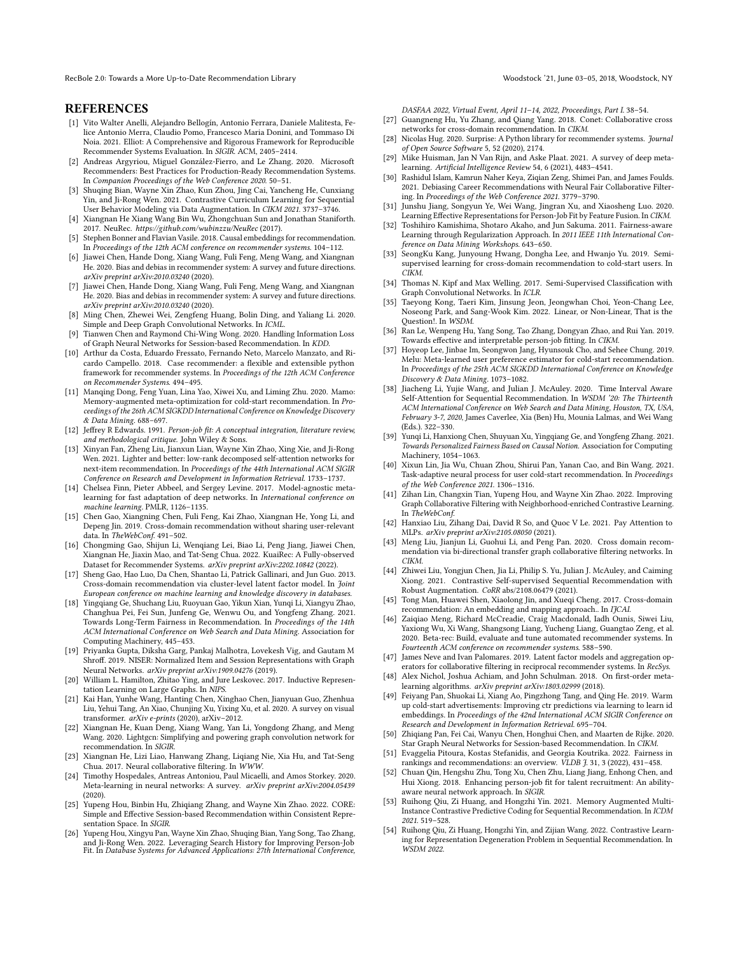RecBole 2.0: Towards a More Up-to-Date Recommendation Library Woodstock '21, June 03-05, 2018, Woodstock, NY

#### **REFERENCES**

- <span id="page-4-0"></span>[1] Vito Walter Anelli, Alejandro Bellogín, Antonio Ferrara, Daniele Malitesta, Felice Antonio Merra, Claudio Pomo, Francesco Maria Donini, and Tommaso Di Noia. 2021. Elliot: A Comprehensive and Rigorous Framework for Reproducible Recommender Systems Evaluation. In SIGIR. ACM, 2405–2414.
- <span id="page-4-1"></span>[2] Andreas Argyriou, Miguel González-Fierro, and Le Zhang. 2020. Microsoft Recommenders: Best Practices for Production-Ready Recommendation Systems. In Companion Proceedings of the Web Conference 2020. 50–51.
- <span id="page-4-10"></span>[3] Shuqing Bian, Wayne Xin Zhao, Kun Zhou, Jing Cai, Yancheng He, Cunxiang Yin, and Ji-Rong Wen. 2021. Contrastive Curriculum Learning for Sequential User Behavior Modeling via Data Augmentation. In CIKM 2021. 3737–3746.
- <span id="page-4-2"></span>[4] Xiangnan He Xiang Wang Bin Wu, Zhongchuan Sun and Jonathan Staniforth. 2017. NeuRec. https://github.com/wubinzzu/NeuRec (2017).
- <span id="page-4-26"></span>[5] Stephen Bonner and Flavian Vasile. 2018. Causal embeddings for recommendation. In Proceedings of the 12th ACM conference on recommender systems. 104–112.
- <span id="page-4-6"></span>[6] Jiawei Chen, Hande Dong, Xiang Wang, Fuli Feng, Meng Wang, and Xiangnan He. 2020. Bias and debias in recommender system: A survey and future directions. arXiv preprint arXiv:2010.03240 (2020).
- <span id="page-4-8"></span>[7] Jiawei Chen, Hande Dong, Xiang Wang, Fuli Feng, Meng Wang, and Xiangnan He. 2020. Bias and debias in recommender system: A survey and future directions. arXiv preprint arXiv:2010.03240 (2020).
- <span id="page-4-53"></span>[8] Ming Chen, Zhewei Wei, Zengfeng Huang, Bolin Ding, and Yaliang Li. 2020. Simple and Deep Graph Convolutional Networks. In ICML.
- <span id="page-4-38"></span>[9] Tianwen Chen and Raymond Chi-Wing Wong. 2020. Handling Information Loss of Graph Neural Networks for Session-based Recommendation. In KDD.
- <span id="page-4-3"></span>[10] Arthur da Costa, Eduardo Fressato, Fernando Neto, Marcelo Manzato, and Ricardo Campello. 2018. Case recommender: a flexible and extensible python framework for recommender systems. In Proceedings of the 12th ACM Conference on Recommender Systems. 494–495.
- <span id="page-4-19"></span>[11] Manqing Dong, Feng Yuan, Lina Yao, Xiwei Xu, and Liming Zhu. 2020. Mamo: Memory-augmented meta-optimization for cold-start recommendation. In Proceedings of the 26th ACM SIGKDD International Conference on Knowledge Discovery & Data Mining. 688–697.
- <span id="page-4-9"></span>[12] Jeffrey R Edwards. 1991. Person-job fit: A conceptual integration, literature review, and methodological critique. John Wiley & Sons.
- <span id="page-4-41"></span>[13] Xinyan Fan, Zheng Liu, Jianxun Lian, Wayne Xin Zhao, Xing Xie, and Ji-Rong Wen. 2021. Lighter and better: low-rank decomposed self-attention networks for next-item recommendation. In Proceedings of the 44th International ACM SIGIR Conference on Research and Development in Information Retrieval. 1733–1737.
- <span id="page-4-14"></span>[14] Chelsea Finn, Pieter Abbeel, and Sergey Levine. 2017. Model-agnostic metalearning for fast adaptation of deep networks. In International conference on machine learning. PMLR, 1126–1135.
- <span id="page-4-29"></span>[15] Chen Gao, Xiangning Chen, Fuli Feng, Kai Zhao, Xiangnan He, Yong Li, and Depeng Jin. 2019. Cross-domain recommendation without sharing user-relevant data. In TheWebConf. 491–502.
- <span id="page-4-27"></span>[16] Chongming Gao, Shijun Li, Wenqiang Lei, Biao Li, Peng Jiang, Jiawei Chen, Xiangnan He, Jiaxin Mao, and Tat-Seng Chua. 2022. KuaiRec: A Fully-observed Dataset for Recommender Systems. arXiv preprint arXiv:2202.10842 (2022).
- <span id="page-4-28"></span>[17] Sheng Gao, Hao Luo, Da Chen, Shantao Li, Patrick Gallinari, and Jun Guo. 2013. Cross-domain recommendation via cluster-level latent factor model. In Joint European conference on machine learning and knowledge discovery in databases.
- <span id="page-4-24"></span>[18] Yingqiang Ge, Shuchang Liu, Ruoyuan Gao, Yikun Xian, Yunqi Li, Xiangyu Zhao, Changhua Pei, Fei Sun, Junfeng Ge, Wenwu Ou, and Yongfeng Zhang. 2021. Towards Long-Term Fairness in Recommendation. In Proceedings of the 14th ACM International Conference on Web Search and Data Mining. Association for Computing Machinery, 445–453.
- <span id="page-4-37"></span>[19] Priyanka Gupta, Diksha Garg, Pankaj Malhotra, Lovekesh Vig, and Gautam M Shroff. 2019. NISER: Normalized Item and Session Representations with Graph Neural Networks. arXiv preprint arXiv:1909.04276 (2019).
- <span id="page-4-49"></span>[20] William L. Hamilton, Zhitao Ying, and Jure Leskovec. 2017. Inductive Representation Learning on Large Graphs. In NIPS.
- <span id="page-4-51"></span>[21] Kai Han, Yunhe Wang, Hanting Chen, Xinghao Chen, Jianyuan Guo, Zhenhua Liu, Yehui Tang, An Xiao, Chunjing Xu, Yixing Xu, et al. 2020. A survey on visual transformer. arXiv e-prints (2020), arXiv–2012.
- <span id="page-4-34"></span>[22] Xiangnan He, Kuan Deng, Xiang Wang, Yan Li, Yongdong Zhang, and Meng Wang. 2020. Lightgcn: Simplifying and powering graph convolution network for recommendation. In SIGIR.
- <span id="page-4-52"></span>[23] Xiangnan He, Lizi Liao, Hanwang Zhang, Liqiang Nie, Xia Hu, and Tat-Seng Chua. 2017. Neural collaborative filtering. In WWW.
- <span id="page-4-15"></span>[24] Timothy Hospedales, Antreas Antoniou, Paul Micaelli, and Amos Storkey. 2020. Meta-learning in neural networks: A survey. arXiv preprint arXiv:2004.05439 (2020).
- <span id="page-4-43"></span>[25] Yupeng Hou, Binbin Hu, Zhiqiang Zhang, and Wayne Xin Zhao. 2022. CORE: Simple and Effective Session-based Recommendation within Consistent Representation Space. In SIGIR.
- <span id="page-4-47"></span>[26] Yupeng Hou, Xingyu Pan, Wayne Xin Zhao, Shuqing Bian, Yang Song, Tao Zhang, and Ji-Rong Wen. 2022. Leveraging Search History for Improving Person-Job Fit. In Database Systems for Advanced Applications: 27th International Conference,

DASFAA 2022, Virtual Event, April 11–14, 2022, Proceedings, Part I. 38–54.

- <span id="page-4-30"></span>[27] Guangneng Hu, Yu Zhang, and Qiang Yang. 2018. Conet: Collaborative cross networks for cross-domain recommendation. In CIKM.
- <span id="page-4-4"></span>[28] Nicolas Hug. 2020. Surprise: A Python library for recommender systems. Journal of Open Source Software 5, 52 (2020), 2174.
- <span id="page-4-16"></span>[29] Mike Huisman, Jan N Van Rijn, and Aske Plaat. 2021. A survey of deep metalearning. Artificial Intelligence Review 54, 6 (2021), 4483–4541.
- <span id="page-4-23"></span>[30] Rashidul Islam, Kamrun Naher Keya, Ziqian Zeng, Shimei Pan, and James Foulds. 2021. Debiasing Career Recommendations with Neural Fair Collaborative Filtering. In Proceedings of the Web Conference 2021. 3779–3790.
- <span id="page-4-46"></span>[31] Junshu Jiang, Songyun Ye, Wei Wang, Jingran Xu, and Xiaosheng Luo. 2020. Learning Effective Representations for Person-Job Fit by Feature Fusion. In CIKM.
- <span id="page-4-25"></span>[32] Toshihiro Kamishima, Shotaro Akaho, and Jun Sakuma. 2011. Fairness-aware Learning through Regularization Approach. In 2011 IEEE 11th International Conference on Data Mining Workshops. 643–650.
- <span id="page-4-33"></span>[33] SeongKu Kang, Junyoung Hwang, Dongha Lee, and Hwanjo Yu. 2019. Semisupervised learning for cross-domain recommendation to cold-start users. In CIKM.
- <span id="page-4-50"></span>[34] Thomas N. Kipf and Max Welling. 2017. Semi-Supervised Classification with Graph Convolutional Networks. In ICLR.
- <span id="page-4-35"></span>[35] Taeyong Kong, Taeri Kim, Jinsung Jeon, Jeongwhan Choi, Yeon-Chang Lee, Noseong Park, and Sang-Wook Kim. 2022. Linear, or Non-Linear, That is the Question!. In WSDM.
- <span id="page-4-45"></span>[36] Ran Le, Wenpeng Hu, Yang Song, Tao Zhang, Dongyan Zhao, and Rui Yan. 2019. Towards effective and interpretable person-job fitting. In CIKM.
- <span id="page-4-18"></span>[37] Hoyeop Lee, Jinbae Im, Seongwon Jang, Hyunsouk Cho, and Sehee Chung. 2019. Melu: Meta-learned user preference estimator for cold-start recommendation. In Proceedings of the 25th ACM SIGKDD International Conference on Knowledge Discovery & Data Mining. 1073–1082.
- <span id="page-4-40"></span>[38] Jiacheng Li, Yujie Wang, and Julian J. McAuley. 2020. Time Interval Aware Self-Attention for Sequential Recommendation. In WSDM '20: The Thirteenth ACM International Conference on Web Search and Data Mining, Houston, TX, USA, February 3-7, 2020, James Caverlee, Xia (Ben) Hu, Mounia Lalmas, and Wei Wang (Eds.). 322–330.
- <span id="page-4-22"></span>[39] Yunqi Li, Hanxiong Chen, Shuyuan Xu, Yingqiang Ge, and Yongfeng Zhang. 2021. Towards Personalized Fairness Based on Causal Notion. Association for Computing Machinery, 1054–1063.
- <span id="page-4-20"></span>[40] Xixun Lin, Jia Wu, Chuan Zhou, Shirui Pan, Yanan Cao, and Bin Wang. 2021. Task-adaptive neural process for user cold-start recommendation. In Proceedings of the Web Conference 2021. 1306–1316.
- <span id="page-4-36"></span>[41] Zihan Lin, Changxin Tian, Yupeng Hou, and Wayne Xin Zhao. 2022. Improving Graph Collaborative Filtering with Neighborhood-enriched Contrastive Learning. In TheWebConf.
- <span id="page-4-42"></span>[42] Hanxiao Liu, Zihang Dai, David R So, and Quoc V Le. 2021. Pay Attention to MLPs. arXiv preprint arXiv:2105.08050 (2021).
- <span id="page-4-31"></span>[43] Meng Liu, Jianjun Li, Guohui Li, and Peng Pan. 2020. Cross domain recommendation via bi-directional transfer graph collaborative filtering networks. In CIKM.
- <span id="page-4-11"></span>[44] Zhiwei Liu, Yongjun Chen, Jia Li, Philip S. Yu, Julian J. McAuley, and Caiming Xiong. 2021. Contrastive Self-supervised Sequential Recommendation with Robust Augmentation. CoRR abs/2108.06479 (2021).
- <span id="page-4-32"></span>[45] Tong Man, Huawei Shen, Xiaolong Jin, and Xueqi Cheng. 2017. Cross-domain recommendation: An embedding and mapping approach.. In IJCAI.
- <span id="page-4-5"></span>[46] Zaiqiao Meng, Richard McCreadie, Craig Macdonald, Iadh Ounis, Siwei Liu, Yaxiong Wu, Xi Wang, Shangsong Liang, Yucheng Liang, Guangtao Zeng, et al. 2020. Beta-rec: Build, evaluate and tune automated recommender systems. In Fourteenth ACM conference on recommender systems. 588–590.
- <span id="page-4-48"></span>[47] James Neve and Ivan Palomares. 2019. Latent factor models and aggregation operators for collaborative filtering in reciprocal recommender systems. In RecSys
- <span id="page-4-17"></span>[48] Alex Nichol, Joshua Achiam, and John Schulman. 2018. On first-order metalearning algorithms. arXiv preprint arXiv:1803.02999 (2018).
- <span id="page-4-21"></span>[49] Feiyang Pan, Shuokai Li, Xiang Ao, Pingzhong Tang, and Qing He. 2019. Warm up cold-start advertisements: Improving ctr predictions via learning to learn id embeddings. In Proceedings of the 42nd International ACM SIGIR Conference on Research and Development in Information Retrieval. 695–704.
- <span id="page-4-39"></span>[50] Zhiqiang Pan, Fei Cai, Wanyu Chen, Honghui Chen, and Maarten de Rijke. 2020. Star Graph Neural Networks for Session-based Recommendation. In CIKM.
- <span id="page-4-7"></span>[51] Evaggelia Pitoura, Kostas Stefanidis, and Georgia Koutrika. 2022. Fairness in rankings and recommendations: an overview. VLDB J. 31, 3 (2022), 431–458.
- <span id="page-4-44"></span>[52] Chuan Qin, Hengshu Zhu, Tong Xu, Chen Zhu, Liang Jiang, Enhong Chen, and Hui Xiong. 2018. Enhancing person-job fit for talent recruitment: An abilityaware neural network approach. In SIGIR.
- <span id="page-4-13"></span>[53] Ruihong Qiu, Zi Huang, and Hongzhi Yin. 2021. Memory Augmented Multi-Instance Contrastive Predictive Coding for Sequential Recommendation. In ICDM 2021. 519–528.
- <span id="page-4-12"></span>[54] Ruihong Qiu, Zi Huang, Hongzhi Yin, and Zijian Wang. 2022. Contrastive Learning for Representation Degeneration Problem in Sequential Recommendation. In WSDM 2022.